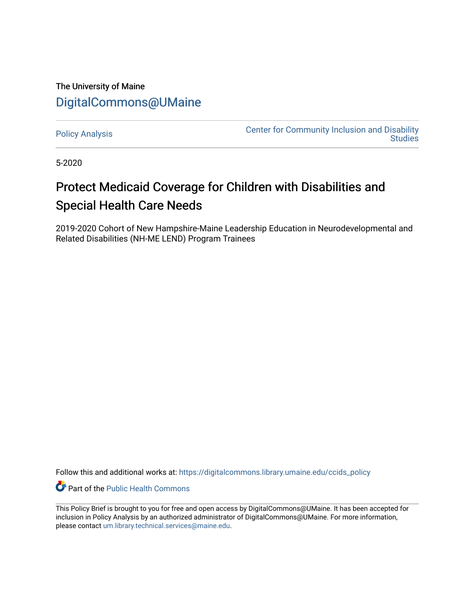## The University of Maine [DigitalCommons@UMaine](https://digitalcommons.library.umaine.edu/)

[Policy Analysis](https://digitalcommons.library.umaine.edu/ccids_policy) **Center for Community Inclusion and Disability**<br>Center for Community Inclusion and Disability **Studies** 

5-2020

## Protect Medicaid Coverage for Children with Disabilities and Special Health Care Needs

2019-2020 Cohort of New Hampshire-Maine Leadership Education in Neurodevelopmental and Related Disabilities (NH-ME LEND) Program Trainees

Follow this and additional works at: [https://digitalcommons.library.umaine.edu/ccids\\_policy](https://digitalcommons.library.umaine.edu/ccids_policy?utm_source=digitalcommons.library.umaine.edu%2Fccids_policy%2F8&utm_medium=PDF&utm_campaign=PDFCoverPages) 

Part of the [Public Health Commons](http://network.bepress.com/hgg/discipline/738?utm_source=digitalcommons.library.umaine.edu%2Fccids_policy%2F8&utm_medium=PDF&utm_campaign=PDFCoverPages) 

This Policy Brief is brought to you for free and open access by DigitalCommons@UMaine. It has been accepted for inclusion in Policy Analysis by an authorized administrator of DigitalCommons@UMaine. For more information, please contact [um.library.technical.services@maine.edu.](mailto:um.library.technical.services@maine.edu)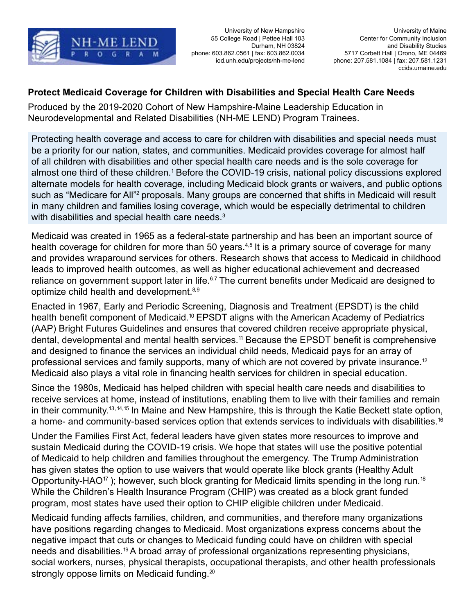

phone: 603.862.0561 | fax: 603.862.0034

## **Protect Medicaid Coverage for Children with Disabilities and Special Health Care Needs**

Produced by the 2019-2020 Cohort of New Hampshire-Maine Leadership Education in Neurodevelopmental and Related Disabilities (NH-ME LEND) Program Trainees.

Protecting health coverage and access to care for children with disabilities and special needs must be a priority for our nation, states, and communities. Medicaid provides coverage for almost half of all children with disabilities and other special health care needs and is the sole coverage for almost one third of these children.<sup>1</sup> Before the COVID-19 crisis, national policy discussions explored alternate models for health coverage, including Medicaid block grants or waivers, and public options such as "Medicare for All"<sup>2</sup> proposals. Many groups are concerned that shifts in Medicaid will result in many children and families losing coverage, which would be especially detrimental to children with disabilities and special health care needs.<sup>3</sup>

Medicaid was created in 1965 as a federal-state partnership and has been an important source of health coverage for children for more than 50 years.<sup>4,5</sup> It is a primary source of coverage for many and provides wraparound services for others. Research shows that access to Medicaid in childhood leads to improved health outcomes, as well as higher educational achievement and decreased reliance on government support later in life.<sup>6,7</sup> The current benefits under Medicaid are designed to optimize child health and development.<sup>8,9</sup>

Enacted in 1967, Early and Periodic Screening, Diagnosis and Treatment (EPSDT) is the child health benefit component of [Medicaid.](https://Medicaid.10)<sup>10</sup> EPSDT aligns with the American Academy of Pediatrics (AAP) Bright Futures Guidelines and ensures that covered children receive appropriate physical, dental, developmental and mental health [services.11](https://services.11) Because the EPSDT benefit is comprehensive and designed to finance the services an individual child needs, Medicaid pays for an array of professional services and family supports, many of which are not covered by private insurance.<sup>12</sup> Medicaid also plays a vital role in financing health services for children in special education.

Since the 1980s, Medicaid has helped children with special health care needs and disabilities to receive services at home, instead of institutions, enabling them to live with their families and remain in their [community.13](https://community.13), 14, 15 In Maine and New Hampshire, this is through the Katie Beckett state option, a home- and community-based services option that extends services to individuals with disabilities.<sup>16</sup>

Under the Families First Act, federal leaders have given states more resources to improve and sustain Medicaid during the COVID-19 crisis. We hope that states will use the positive potential of Medicaid to help children and families throughout the emergency. The Trump Administration has given states the option to use waivers that would operate like block grants (Healthy Adult Opportunity-HAO<sup>17</sup>); however, such block granting for Medicaid limits spending in the long run.<sup>18</sup> While the Children's Health Insurance Program (CHIP) was created as a block grant funded program, most states have used their option to CHIP eligible children under Medicaid.

Medicaid funding affects families, children, and communities, and therefore many organizations have positions regarding changes to Medicaid. Most organizations express concerns about the negative impact that cuts or changes to Medicaid funding could have on children with special needs and [disabilities.19](https://disabilities.19) A broad array of professional organizations representing physicians, social workers, nurses, physical therapists, occupational therapists, and other health professionals strongly oppose limits on Medicaid funding. $20$